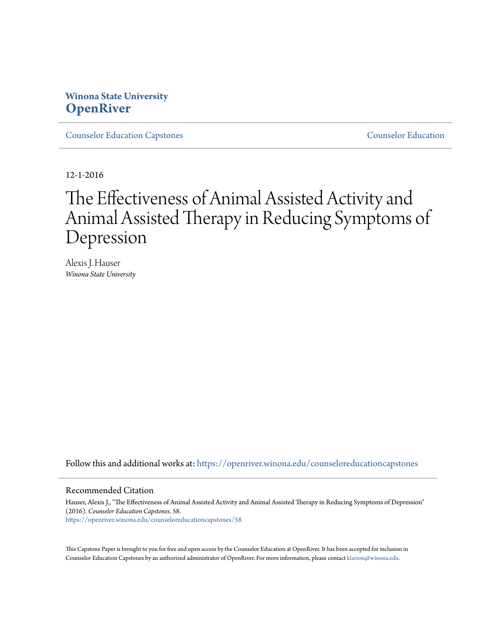# **Winona State University [OpenRiver](https://openriver.winona.edu?utm_source=openriver.winona.edu%2Fcounseloreducationcapstones%2F58&utm_medium=PDF&utm_campaign=PDFCoverPages)**

[Counselor Education Capstones](https://openriver.winona.edu/counseloreducationcapstones?utm_source=openriver.winona.edu%2Fcounseloreducationcapstones%2F58&utm_medium=PDF&utm_campaign=PDFCoverPages) [Counselor Education](https://openriver.winona.edu/counseloreducation?utm_source=openriver.winona.edu%2Fcounseloreducationcapstones%2F58&utm_medium=PDF&utm_campaign=PDFCoverPages)

12-1-2016

# The Effectiveness of Animal Assisted Activity and Animal Assisted Therapy in Reducing Symptoms of Depression

Alexis J. Hauser *Winona State University*

Follow this and additional works at: [https://openriver.winona.edu/counseloreducationcapstones](https://openriver.winona.edu/counseloreducationcapstones?utm_source=openriver.winona.edu%2Fcounseloreducationcapstones%2F58&utm_medium=PDF&utm_campaign=PDFCoverPages)

### Recommended Citation

Hauser, Alexis J., "The Effectiveness of Animal Assisted Activity and Animal Assisted Therapy in Reducing Symptoms of Depression" (2016). *Counselor Education Capstones*. 58. [https://openriver.winona.edu/counseloreducationcapstones/58](https://openriver.winona.edu/counseloreducationcapstones/58?utm_source=openriver.winona.edu%2Fcounseloreducationcapstones%2F58&utm_medium=PDF&utm_campaign=PDFCoverPages)

This Capstone Paper is brought to you for free and open access by the Counselor Education at OpenRiver. It has been accepted for inclusion in Counselor Education Capstones by an authorized administrator of OpenRiver. For more information, please contact [klarson@winona.edu](mailto:klarson@winona.edu).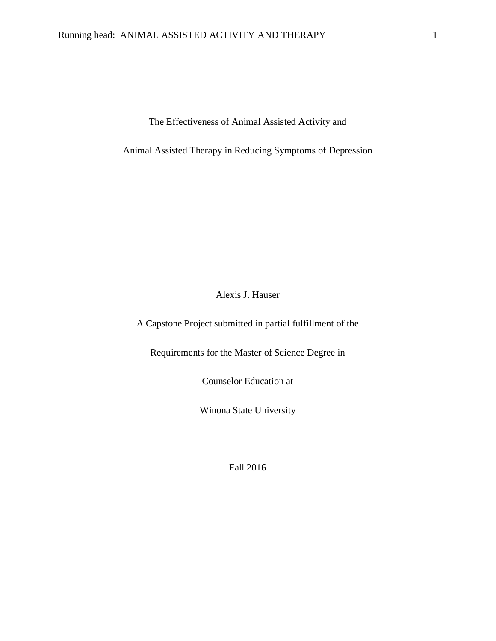The Effectiveness of Animal Assisted Activity and

Animal Assisted Therapy in Reducing Symptoms of Depression

Alexis J. Hauser

A Capstone Project submitted in partial fulfillment of the

Requirements for the Master of Science Degree in

Counselor Education at

Winona State University

Fall 2016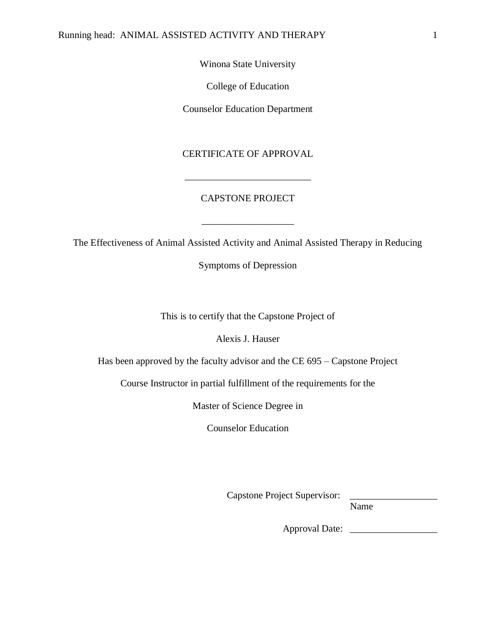Winona State University

College of Education

Counselor Education Department

## CERTIFICATE OF APPROVAL

## CAPSTONE PROJECT

\_\_\_\_\_\_\_\_\_\_\_\_\_\_\_\_\_\_\_

\_\_\_\_\_\_\_\_\_\_\_\_\_\_\_\_\_\_\_\_\_\_\_\_\_\_

The Effectiveness of Animal Assisted Activity and Animal Assisted Therapy in Reducing

Symptoms of Depression

This is to certify that the Capstone Project of

Alexis J. Hauser

Has been approved by the faculty advisor and the CE 695 – Capstone Project

Course Instructor in partial fulfillment of the requirements for the

Master of Science Degree in

Counselor Education

Capstone Project Supervisor:

Name

Approval Date: \_\_\_\_\_\_\_\_\_\_\_\_\_\_\_\_\_\_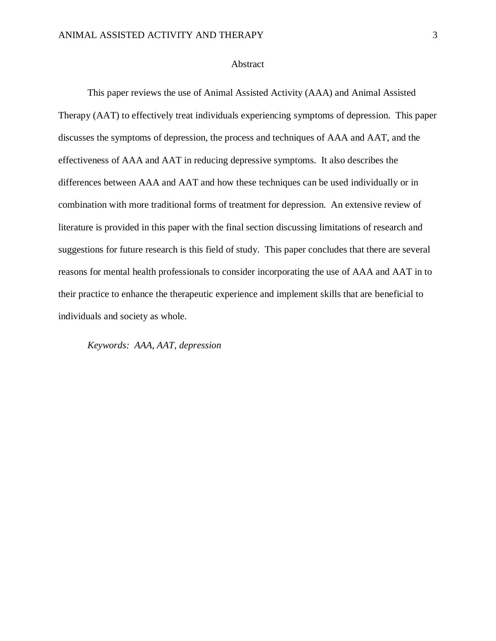### Abstract

This paper reviews the use of Animal Assisted Activity (AAA) and Animal Assisted Therapy (AAT) to effectively treat individuals experiencing symptoms of depression. This paper discusses the symptoms of depression, the process and techniques of AAA and AAT, and the effectiveness of AAA and AAT in reducing depressive symptoms. It also describes the differences between AAA and AAT and how these techniques can be used individually or in combination with more traditional forms of treatment for depression. An extensive review of literature is provided in this paper with the final section discussing limitations of research and suggestions for future research is this field of study. This paper concludes that there are several reasons for mental health professionals to consider incorporating the use of AAA and AAT in to their practice to enhance the therapeutic experience and implement skills that are beneficial to individuals and society as whole.

*Keywords: AAA, AAT, depression*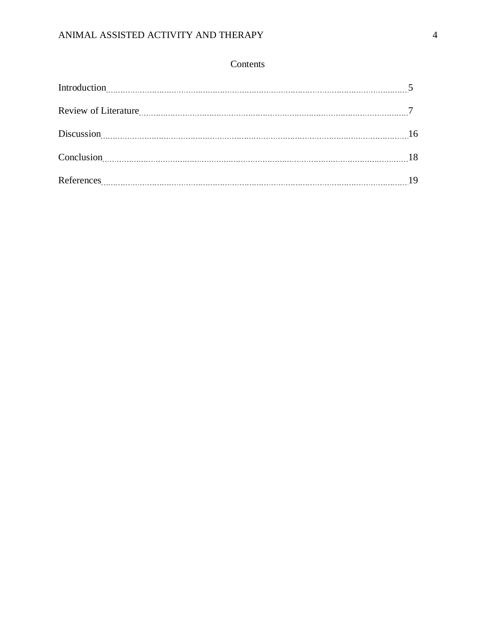# ANIMAL ASSISTED ACTIVITY AND THERAPY 4

## Contents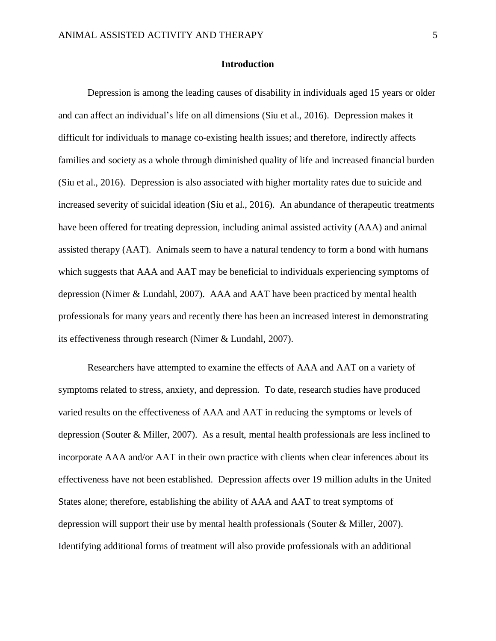### **Introduction**

Depression is among the leading causes of disability in individuals aged 15 years or older and can affect an individual's life on all dimensions (Siu et al., 2016). Depression makes it difficult for individuals to manage co-existing health issues; and therefore, indirectly affects families and society as a whole through diminished quality of life and increased financial burden (Siu et al., 2016). Depression is also associated with higher mortality rates due to suicide and increased severity of suicidal ideation (Siu et al., 2016). An abundance of therapeutic treatments have been offered for treating depression, including animal assisted activity (AAA) and animal assisted therapy (AAT). Animals seem to have a natural tendency to form a bond with humans which suggests that AAA and AAT may be beneficial to individuals experiencing symptoms of depression (Nimer & Lundahl, 2007). AAA and AAT have been practiced by mental health professionals for many years and recently there has been an increased interest in demonstrating its effectiveness through research (Nimer & Lundahl, 2007).

Researchers have attempted to examine the effects of AAA and AAT on a variety of symptoms related to stress, anxiety, and depression. To date, research studies have produced varied results on the effectiveness of AAA and AAT in reducing the symptoms or levels of depression (Souter & Miller, 2007). As a result, mental health professionals are less inclined to incorporate AAA and/or AAT in their own practice with clients when clear inferences about its effectiveness have not been established. Depression affects over 19 million adults in the United States alone; therefore, establishing the ability of AAA and AAT to treat symptoms of depression will support their use by mental health professionals (Souter & Miller, 2007). Identifying additional forms of treatment will also provide professionals with an additional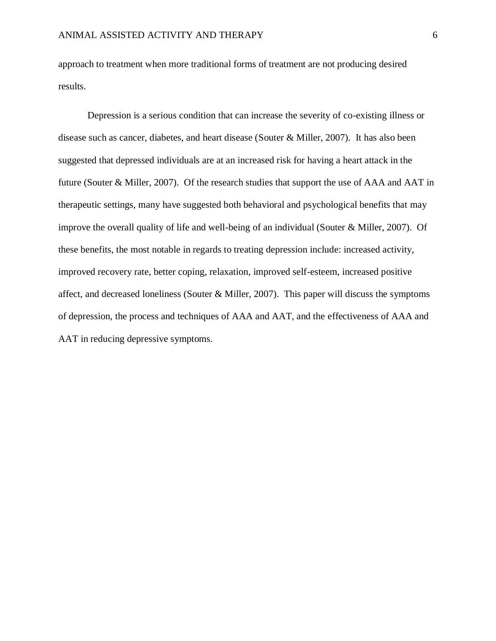approach to treatment when more traditional forms of treatment are not producing desired results.

Depression is a serious condition that can increase the severity of co-existing illness or disease such as cancer, diabetes, and heart disease (Souter & Miller, 2007). It has also been suggested that depressed individuals are at an increased risk for having a heart attack in the future (Souter & Miller, 2007). Of the research studies that support the use of AAA and AAT in therapeutic settings, many have suggested both behavioral and psychological benefits that may improve the overall quality of life and well-being of an individual (Souter & Miller, 2007). Of these benefits, the most notable in regards to treating depression include: increased activity, improved recovery rate, better coping, relaxation, improved self-esteem, increased positive affect, and decreased loneliness (Souter & Miller, 2007). This paper will discuss the symptoms of depression, the process and techniques of AAA and AAT, and the effectiveness of AAA and AAT in reducing depressive symptoms.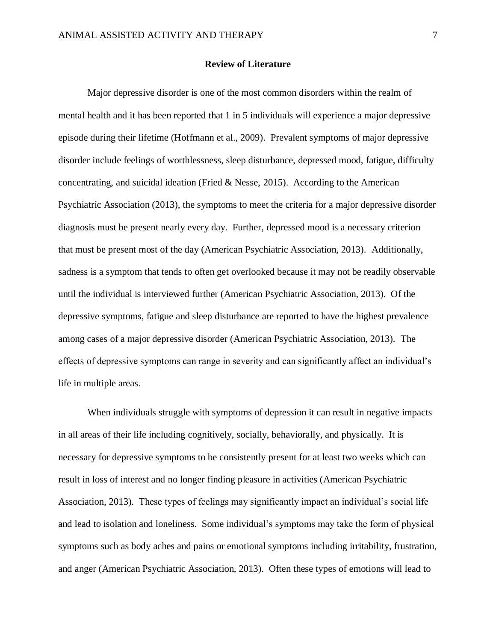## **Review of Literature**

Major depressive disorder is one of the most common disorders within the realm of mental health and it has been reported that 1 in 5 individuals will experience a major depressive episode during their lifetime (Hoffmann et al., 2009). Prevalent symptoms of major depressive disorder include feelings of worthlessness, sleep disturbance, depressed mood, fatigue, difficulty concentrating, and suicidal ideation (Fried & Nesse, 2015). According to the American Psychiatric Association (2013), the symptoms to meet the criteria for a major depressive disorder diagnosis must be present nearly every day. Further, depressed mood is a necessary criterion that must be present most of the day (American Psychiatric Association, 2013). Additionally, sadness is a symptom that tends to often get overlooked because it may not be readily observable until the individual is interviewed further (American Psychiatric Association, 2013). Of the depressive symptoms, fatigue and sleep disturbance are reported to have the highest prevalence among cases of a major depressive disorder (American Psychiatric Association, 2013). The effects of depressive symptoms can range in severity and can significantly affect an individual's life in multiple areas.

When individuals struggle with symptoms of depression it can result in negative impacts in all areas of their life including cognitively, socially, behaviorally, and physically. It is necessary for depressive symptoms to be consistently present for at least two weeks which can result in loss of interest and no longer finding pleasure in activities (American Psychiatric Association, 2013). These types of feelings may significantly impact an individual's social life and lead to isolation and loneliness. Some individual's symptoms may take the form of physical symptoms such as body aches and pains or emotional symptoms including irritability, frustration, and anger (American Psychiatric Association, 2013). Often these types of emotions will lead to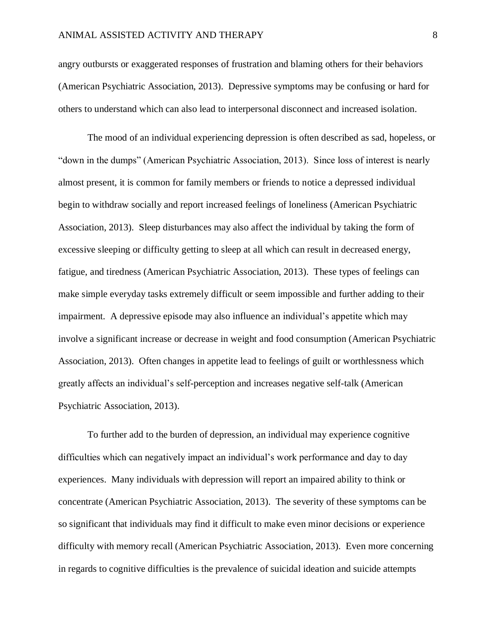angry outbursts or exaggerated responses of frustration and blaming others for their behaviors (American Psychiatric Association, 2013). Depressive symptoms may be confusing or hard for others to understand which can also lead to interpersonal disconnect and increased isolation.

The mood of an individual experiencing depression is often described as sad, hopeless, or "down in the dumps" (American Psychiatric Association, 2013). Since loss of interest is nearly almost present, it is common for family members or friends to notice a depressed individual begin to withdraw socially and report increased feelings of loneliness (American Psychiatric Association, 2013). Sleep disturbances may also affect the individual by taking the form of excessive sleeping or difficulty getting to sleep at all which can result in decreased energy, fatigue, and tiredness (American Psychiatric Association, 2013). These types of feelings can make simple everyday tasks extremely difficult or seem impossible and further adding to their impairment. A depressive episode may also influence an individual's appetite which may involve a significant increase or decrease in weight and food consumption (American Psychiatric Association, 2013). Often changes in appetite lead to feelings of guilt or worthlessness which greatly affects an individual's self-perception and increases negative self-talk (American Psychiatric Association, 2013).

To further add to the burden of depression, an individual may experience cognitive difficulties which can negatively impact an individual's work performance and day to day experiences. Many individuals with depression will report an impaired ability to think or concentrate (American Psychiatric Association, 2013). The severity of these symptoms can be so significant that individuals may find it difficult to make even minor decisions or experience difficulty with memory recall (American Psychiatric Association, 2013). Even more concerning in regards to cognitive difficulties is the prevalence of suicidal ideation and suicide attempts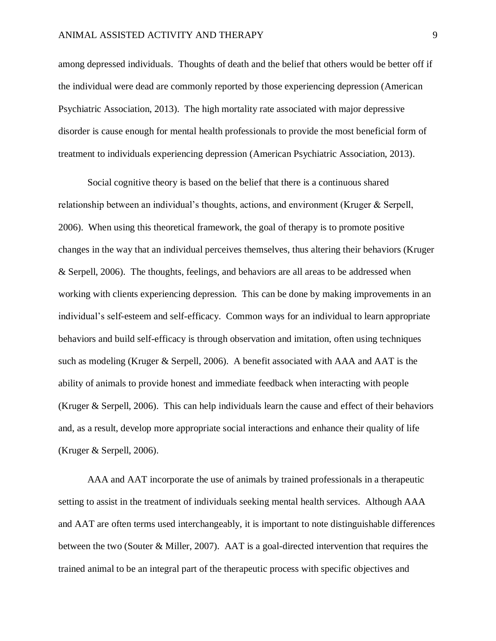## ANIMAL ASSISTED ACTIVITY AND THERAPY 9

among depressed individuals. Thoughts of death and the belief that others would be better off if the individual were dead are commonly reported by those experiencing depression (American Psychiatric Association, 2013). The high mortality rate associated with major depressive disorder is cause enough for mental health professionals to provide the most beneficial form of treatment to individuals experiencing depression (American Psychiatric Association, 2013).

Social cognitive theory is based on the belief that there is a continuous shared relationship between an individual's thoughts, actions, and environment (Kruger & Serpell, 2006). When using this theoretical framework, the goal of therapy is to promote positive changes in the way that an individual perceives themselves, thus altering their behaviors (Kruger & Serpell, 2006). The thoughts, feelings, and behaviors are all areas to be addressed when working with clients experiencing depression. This can be done by making improvements in an individual's self-esteem and self-efficacy. Common ways for an individual to learn appropriate behaviors and build self-efficacy is through observation and imitation, often using techniques such as modeling (Kruger  $\&$  Serpell, 2006). A benefit associated with AAA and AAT is the ability of animals to provide honest and immediate feedback when interacting with people (Kruger & Serpell, 2006). This can help individuals learn the cause and effect of their behaviors and, as a result, develop more appropriate social interactions and enhance their quality of life (Kruger & Serpell, 2006).

AAA and AAT incorporate the use of animals by trained professionals in a therapeutic setting to assist in the treatment of individuals seeking mental health services. Although AAA and AAT are often terms used interchangeably, it is important to note distinguishable differences between the two (Souter & Miller, 2007). AAT is a goal-directed intervention that requires the trained animal to be an integral part of the therapeutic process with specific objectives and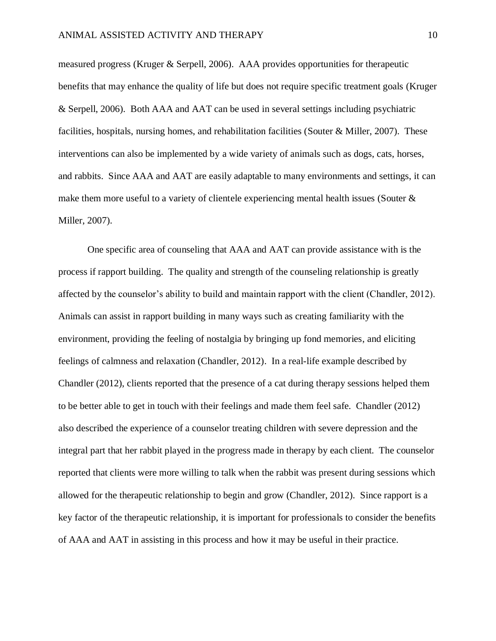measured progress (Kruger & Serpell, 2006). AAA provides opportunities for therapeutic benefits that may enhance the quality of life but does not require specific treatment goals (Kruger & Serpell, 2006). Both AAA and AAT can be used in several settings including psychiatric facilities, hospitals, nursing homes, and rehabilitation facilities (Souter & Miller, 2007). These interventions can also be implemented by a wide variety of animals such as dogs, cats, horses, and rabbits. Since AAA and AAT are easily adaptable to many environments and settings, it can make them more useful to a variety of clientele experiencing mental health issues (Souter & Miller, 2007).

One specific area of counseling that AAA and AAT can provide assistance with is the process if rapport building. The quality and strength of the counseling relationship is greatly affected by the counselor's ability to build and maintain rapport with the client (Chandler, 2012). Animals can assist in rapport building in many ways such as creating familiarity with the environment, providing the feeling of nostalgia by bringing up fond memories, and eliciting feelings of calmness and relaxation (Chandler, 2012). In a real-life example described by Chandler (2012), clients reported that the presence of a cat during therapy sessions helped them to be better able to get in touch with their feelings and made them feel safe. Chandler (2012) also described the experience of a counselor treating children with severe depression and the integral part that her rabbit played in the progress made in therapy by each client. The counselor reported that clients were more willing to talk when the rabbit was present during sessions which allowed for the therapeutic relationship to begin and grow (Chandler, 2012). Since rapport is a key factor of the therapeutic relationship, it is important for professionals to consider the benefits of AAA and AAT in assisting in this process and how it may be useful in their practice.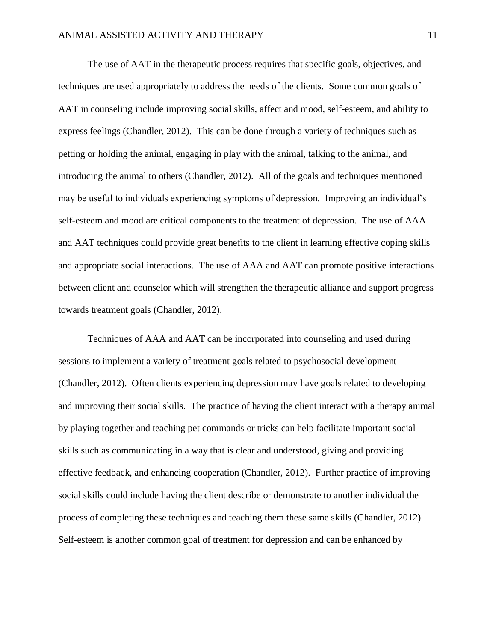The use of AAT in the therapeutic process requires that specific goals, objectives, and techniques are used appropriately to address the needs of the clients. Some common goals of AAT in counseling include improving social skills, affect and mood, self-esteem, and ability to express feelings (Chandler, 2012). This can be done through a variety of techniques such as petting or holding the animal, engaging in play with the animal, talking to the animal, and introducing the animal to others (Chandler, 2012). All of the goals and techniques mentioned may be useful to individuals experiencing symptoms of depression. Improving an individual's self-esteem and mood are critical components to the treatment of depression. The use of AAA and AAT techniques could provide great benefits to the client in learning effective coping skills and appropriate social interactions. The use of AAA and AAT can promote positive interactions between client and counselor which will strengthen the therapeutic alliance and support progress towards treatment goals (Chandler, 2012).

Techniques of AAA and AAT can be incorporated into counseling and used during sessions to implement a variety of treatment goals related to psychosocial development (Chandler, 2012). Often clients experiencing depression may have goals related to developing and improving their social skills. The practice of having the client interact with a therapy animal by playing together and teaching pet commands or tricks can help facilitate important social skills such as communicating in a way that is clear and understood, giving and providing effective feedback, and enhancing cooperation (Chandler, 2012). Further practice of improving social skills could include having the client describe or demonstrate to another individual the process of completing these techniques and teaching them these same skills (Chandler, 2012). Self-esteem is another common goal of treatment for depression and can be enhanced by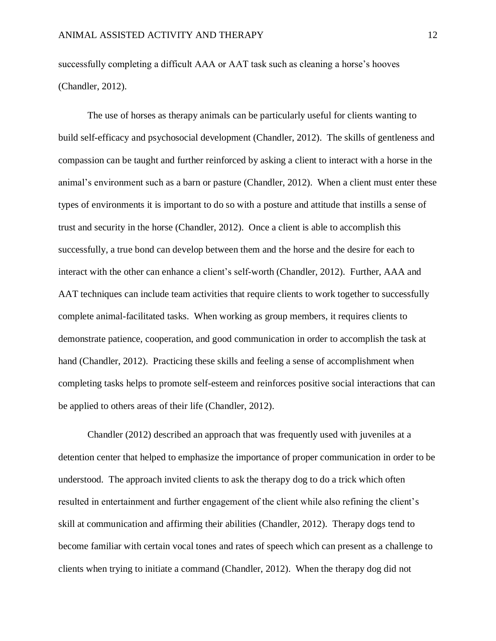successfully completing a difficult AAA or AAT task such as cleaning a horse's hooves (Chandler, 2012).

The use of horses as therapy animals can be particularly useful for clients wanting to build self-efficacy and psychosocial development (Chandler, 2012). The skills of gentleness and compassion can be taught and further reinforced by asking a client to interact with a horse in the animal's environment such as a barn or pasture (Chandler, 2012). When a client must enter these types of environments it is important to do so with a posture and attitude that instills a sense of trust and security in the horse (Chandler, 2012). Once a client is able to accomplish this successfully, a true bond can develop between them and the horse and the desire for each to interact with the other can enhance a client's self-worth (Chandler, 2012). Further, AAA and AAT techniques can include team activities that require clients to work together to successfully complete animal-facilitated tasks. When working as group members, it requires clients to demonstrate patience, cooperation, and good communication in order to accomplish the task at hand (Chandler, 2012). Practicing these skills and feeling a sense of accomplishment when completing tasks helps to promote self-esteem and reinforces positive social interactions that can be applied to others areas of their life (Chandler, 2012).

Chandler (2012) described an approach that was frequently used with juveniles at a detention center that helped to emphasize the importance of proper communication in order to be understood. The approach invited clients to ask the therapy dog to do a trick which often resulted in entertainment and further engagement of the client while also refining the client's skill at communication and affirming their abilities (Chandler, 2012). Therapy dogs tend to become familiar with certain vocal tones and rates of speech which can present as a challenge to clients when trying to initiate a command (Chandler, 2012). When the therapy dog did not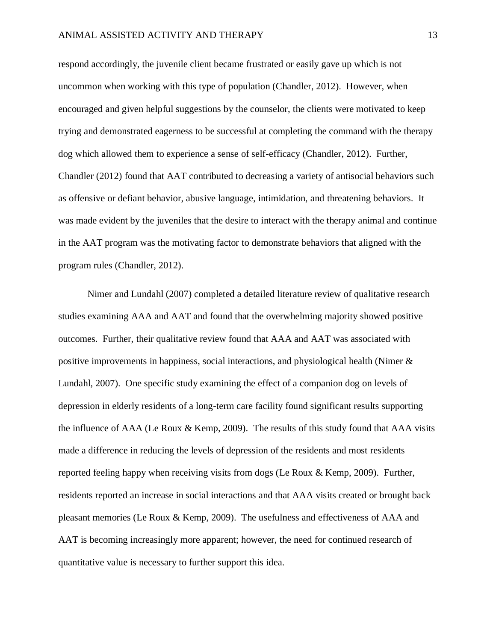respond accordingly, the juvenile client became frustrated or easily gave up which is not uncommon when working with this type of population (Chandler, 2012). However, when encouraged and given helpful suggestions by the counselor, the clients were motivated to keep trying and demonstrated eagerness to be successful at completing the command with the therapy dog which allowed them to experience a sense of self-efficacy (Chandler, 2012). Further, Chandler (2012) found that AAT contributed to decreasing a variety of antisocial behaviors such as offensive or defiant behavior, abusive language, intimidation, and threatening behaviors. It was made evident by the juveniles that the desire to interact with the therapy animal and continue in the AAT program was the motivating factor to demonstrate behaviors that aligned with the program rules (Chandler, 2012).

Nimer and Lundahl (2007) completed a detailed literature review of qualitative research studies examining AAA and AAT and found that the overwhelming majority showed positive outcomes. Further, their qualitative review found that AAA and AAT was associated with positive improvements in happiness, social interactions, and physiological health (Nimer & Lundahl, 2007). One specific study examining the effect of a companion dog on levels of depression in elderly residents of a long-term care facility found significant results supporting the influence of AAA (Le Roux & Kemp, 2009). The results of this study found that AAA visits made a difference in reducing the levels of depression of the residents and most residents reported feeling happy when receiving visits from dogs (Le Roux & Kemp, 2009). Further, residents reported an increase in social interactions and that AAA visits created or brought back pleasant memories (Le Roux & Kemp, 2009). The usefulness and effectiveness of AAA and AAT is becoming increasingly more apparent; however, the need for continued research of quantitative value is necessary to further support this idea.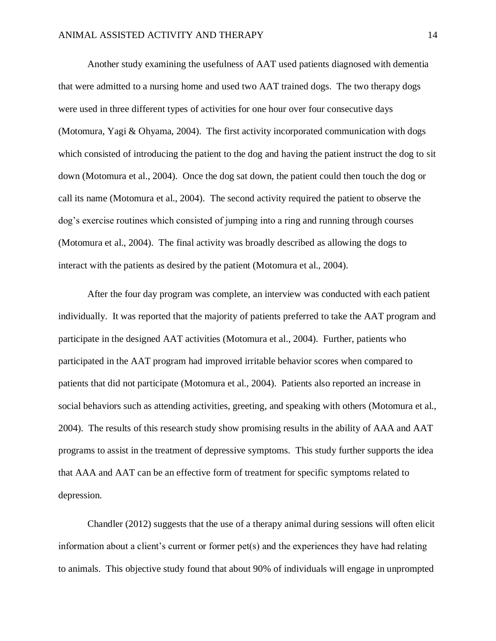Another study examining the usefulness of AAT used patients diagnosed with dementia that were admitted to a nursing home and used two AAT trained dogs. The two therapy dogs were used in three different types of activities for one hour over four consecutive days (Motomura, Yagi & Ohyama, 2004). The first activity incorporated communication with dogs which consisted of introducing the patient to the dog and having the patient instruct the dog to sit down (Motomura et al., 2004). Once the dog sat down, the patient could then touch the dog or call its name (Motomura et al., 2004). The second activity required the patient to observe the dog's exercise routines which consisted of jumping into a ring and running through courses (Motomura et al., 2004). The final activity was broadly described as allowing the dogs to interact with the patients as desired by the patient (Motomura et al., 2004).

After the four day program was complete, an interview was conducted with each patient individually. It was reported that the majority of patients preferred to take the AAT program and participate in the designed AAT activities (Motomura et al., 2004). Further, patients who participated in the AAT program had improved irritable behavior scores when compared to patients that did not participate (Motomura et al., 2004). Patients also reported an increase in social behaviors such as attending activities, greeting, and speaking with others (Motomura et al., 2004). The results of this research study show promising results in the ability of AAA and AAT programs to assist in the treatment of depressive symptoms. This study further supports the idea that AAA and AAT can be an effective form of treatment for specific symptoms related to depression.

Chandler (2012) suggests that the use of a therapy animal during sessions will often elicit information about a client's current or former pet(s) and the experiences they have had relating to animals. This objective study found that about 90% of individuals will engage in unprompted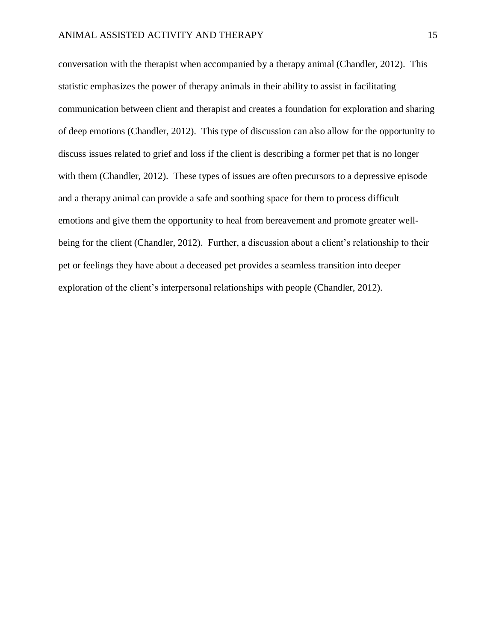conversation with the therapist when accompanied by a therapy animal (Chandler, 2012). This statistic emphasizes the power of therapy animals in their ability to assist in facilitating communication between client and therapist and creates a foundation for exploration and sharing of deep emotions (Chandler, 2012). This type of discussion can also allow for the opportunity to discuss issues related to grief and loss if the client is describing a former pet that is no longer with them (Chandler, 2012). These types of issues are often precursors to a depressive episode and a therapy animal can provide a safe and soothing space for them to process difficult emotions and give them the opportunity to heal from bereavement and promote greater wellbeing for the client (Chandler, 2012). Further, a discussion about a client's relationship to their pet or feelings they have about a deceased pet provides a seamless transition into deeper exploration of the client's interpersonal relationships with people (Chandler, 2012).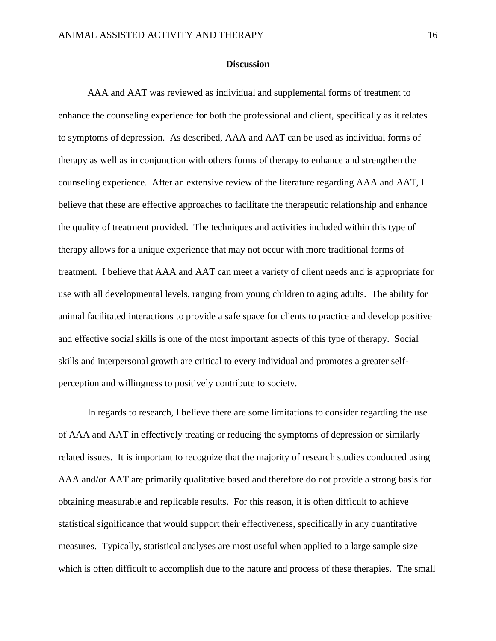### **Discussion**

AAA and AAT was reviewed as individual and supplemental forms of treatment to enhance the counseling experience for both the professional and client, specifically as it relates to symptoms of depression. As described, AAA and AAT can be used as individual forms of therapy as well as in conjunction with others forms of therapy to enhance and strengthen the counseling experience. After an extensive review of the literature regarding AAA and AAT, I believe that these are effective approaches to facilitate the therapeutic relationship and enhance the quality of treatment provided. The techniques and activities included within this type of therapy allows for a unique experience that may not occur with more traditional forms of treatment. I believe that AAA and AAT can meet a variety of client needs and is appropriate for use with all developmental levels, ranging from young children to aging adults. The ability for animal facilitated interactions to provide a safe space for clients to practice and develop positive and effective social skills is one of the most important aspects of this type of therapy. Social skills and interpersonal growth are critical to every individual and promotes a greater selfperception and willingness to positively contribute to society.

In regards to research, I believe there are some limitations to consider regarding the use of AAA and AAT in effectively treating or reducing the symptoms of depression or similarly related issues. It is important to recognize that the majority of research studies conducted using AAA and/or AAT are primarily qualitative based and therefore do not provide a strong basis for obtaining measurable and replicable results. For this reason, it is often difficult to achieve statistical significance that would support their effectiveness, specifically in any quantitative measures. Typically, statistical analyses are most useful when applied to a large sample size which is often difficult to accomplish due to the nature and process of these therapies. The small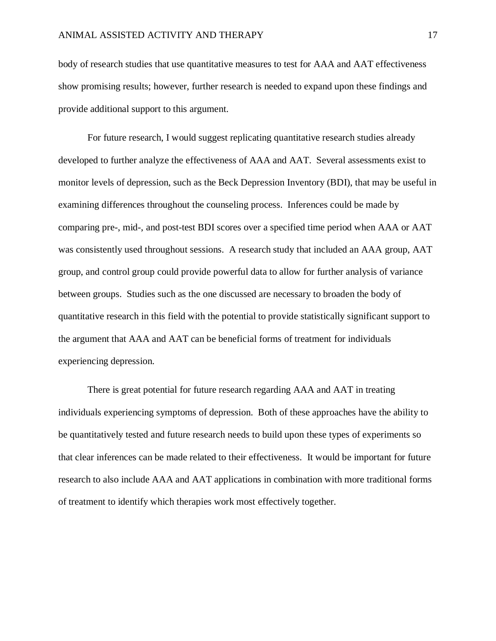body of research studies that use quantitative measures to test for AAA and AAT effectiveness show promising results; however, further research is needed to expand upon these findings and provide additional support to this argument.

For future research, I would suggest replicating quantitative research studies already developed to further analyze the effectiveness of AAA and AAT. Several assessments exist to monitor levels of depression, such as the Beck Depression Inventory (BDI), that may be useful in examining differences throughout the counseling process. Inferences could be made by comparing pre-, mid-, and post-test BDI scores over a specified time period when AAA or AAT was consistently used throughout sessions. A research study that included an AAA group, AAT group, and control group could provide powerful data to allow for further analysis of variance between groups. Studies such as the one discussed are necessary to broaden the body of quantitative research in this field with the potential to provide statistically significant support to the argument that AAA and AAT can be beneficial forms of treatment for individuals experiencing depression.

There is great potential for future research regarding AAA and AAT in treating individuals experiencing symptoms of depression. Both of these approaches have the ability to be quantitatively tested and future research needs to build upon these types of experiments so that clear inferences can be made related to their effectiveness. It would be important for future research to also include AAA and AAT applications in combination with more traditional forms of treatment to identify which therapies work most effectively together.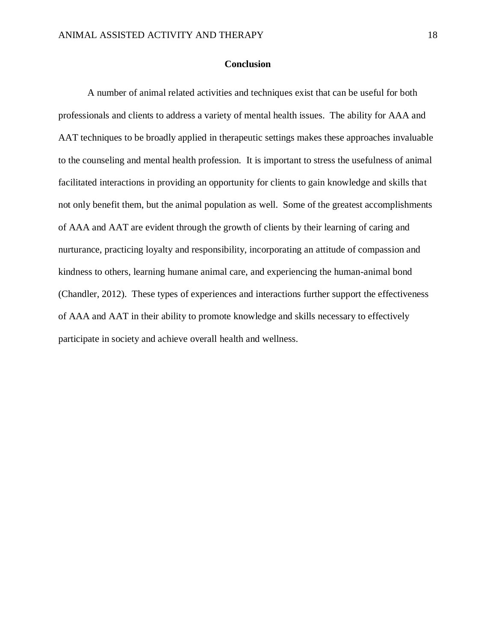## **Conclusion**

A number of animal related activities and techniques exist that can be useful for both professionals and clients to address a variety of mental health issues. The ability for AAA and AAT techniques to be broadly applied in therapeutic settings makes these approaches invaluable to the counseling and mental health profession. It is important to stress the usefulness of animal facilitated interactions in providing an opportunity for clients to gain knowledge and skills that not only benefit them, but the animal population as well. Some of the greatest accomplishments of AAA and AAT are evident through the growth of clients by their learning of caring and nurturance, practicing loyalty and responsibility, incorporating an attitude of compassion and kindness to others, learning humane animal care, and experiencing the human-animal bond (Chandler, 2012). These types of experiences and interactions further support the effectiveness of AAA and AAT in their ability to promote knowledge and skills necessary to effectively participate in society and achieve overall health and wellness.